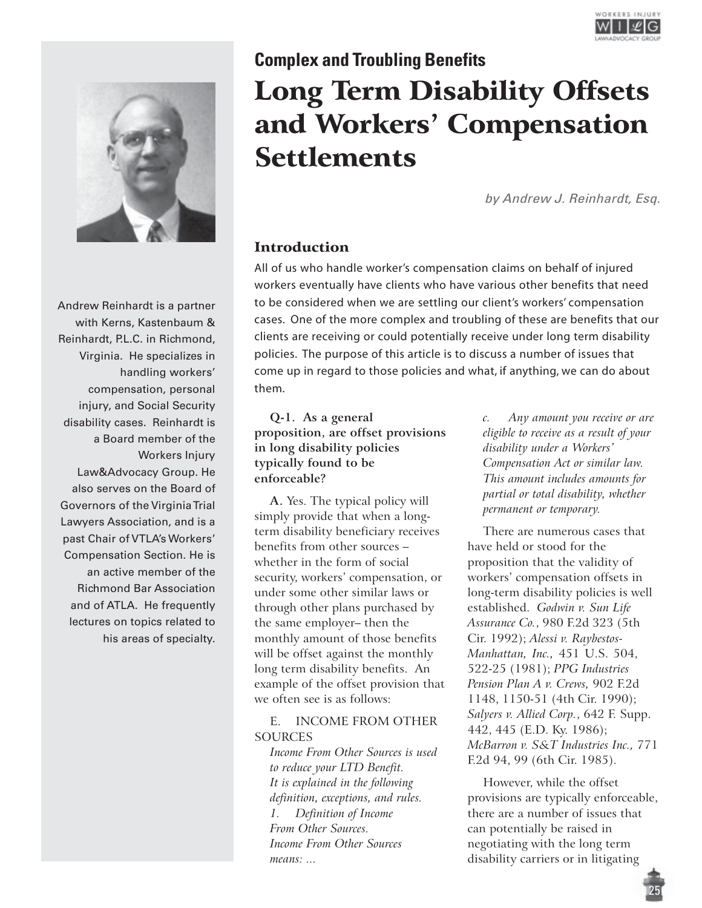



# **Complex and Troubling Benefits** Long Term Disability Offsets and Workers' Compensation **Settlements**

by Andrew J. Reinhardt, Esq.

### Introduction

All of us who handle worker's compensation claims on behalf of injured workers eventually have clients who have various other benefits that need to be considered when we are settling our client's workers' compensation cases. One of the more complex and troubling of these are benefits that our clients are receiving or could potentially receive under long term disability policies. The purpose of this article is to discuss a number of issues that come up in regard to those policies and what, if anything, we can do about them.

**Q-1. As a general proposition, are offset provisions in long disability policies typically found to be enforceable?**

**A.** Yes. The typical policy will simply provide that when a longterm disability beneficiary receives benefits from other sources – whether in the form of social security, workers' compensation, or under some other similar laws or through other plans purchased by the same employer– then the monthly amount of those benefits will be offset against the monthly long term disability benefits. An example of the offset provision that we often see is as follows:

E. INCOME FROM OTHER **SOURCES** 

*Income From Other Sources is used to reduce your LTD Benefit. It is explained in the following definition, exceptions, and rules. 1. Definition of Income From Other Sources. Income From Other Sources means: ...*

*c. Any amount you receive or are eligible to receive as a result of your disability under a Workers' Compensation Act or similar law. This amount includes amounts for partial or total disability, whether permanent or temporary.*

There are numerous cases that have held or stood for the proposition that the validity of workers' compensation offsets in long-term disability policies is well established. *Godwin v. Sun Life Assurance Co.*, 980 F.2d 323 (5th Cir. 1992); *Alessi v. Raybestos-Manhattan, Inc.,* 451 U.S. 504, 522-25 (1981); *PPG Industries Pension Plan A v. Crews,* 902 F.2d 1148, 1150-51 (4th Cir. 1990); *Salyers v. Allied Corp.*, 642 F. Supp. 442, 445 (E.D. Ky. 1986); *McBarron v. S&T Industries Inc.,* 771 F.2d 94, 99 (6th Cir. 1985).

However, while the offset provisions are typically enforceable, there are a number of issues that can potentially be raised in negotiating with the long term disability carriers or in litigating

Andrew Reinhardt is a partner with Kerns, Kastenbaum & Reinhardt, P.L.C. in Richmond, Virginia. He specializes in handling workers' compensation, personal injury, and Social Security disability cases. Reinhardt is a Board member of the Workers Injury Law&Advocacy Group. He also serves on the Board of Governors of the Virginia Trial Lawyers Association, and is a past Chair of VTLA's Workers' Compensation Section. He is an active member of the Richmond Bar Association and of ATLA. He frequently lectures on topics related to his areas of specialty.

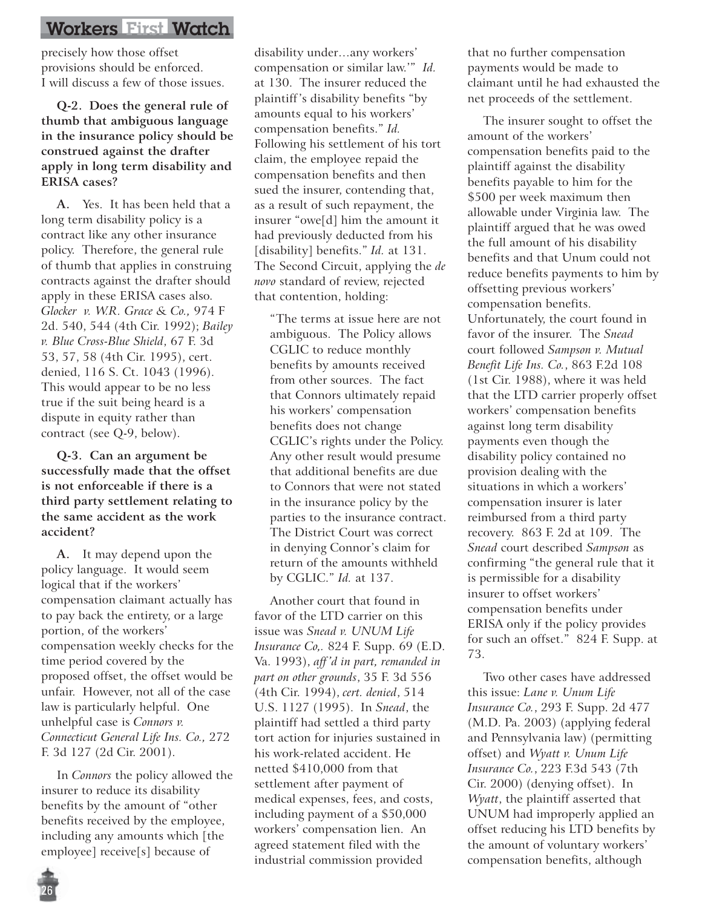### Workers First Watch

precisely how those offset provisions should be enforced. I will discuss a few of those issues.

**Q-2. Does the general rule of thumb that ambiguous language in the insurance policy should be construed against the drafter apply in long term disability and ERISA cases?**

**A.** Yes. It has been held that a long term disability policy is a contract like any other insurance policy. Therefore, the general rule of thumb that applies in construing contracts against the drafter should apply in these ERISA cases also. *Glocker v. W.R. Grace & Co.,* 974 F 2d. 540, 544 (4th Cir. 1992); *Bailey v. Blue Cross-Blue Shield*, 67 F. 3d 53, 57, 58 (4th Cir. 1995), cert. denied, 116 S. Ct. 1043 (1996). This would appear to be no less true if the suit being heard is a dispute in equity rather than contract (see Q-9, below).

**Q-3. Can an argument be successfully made that the offset is not enforceable if there is a third party settlement relating to the same accident as the work accident?**

**A.** It may depend upon the policy language. It would seem logical that if the workers' compensation claimant actually has to pay back the entirety, or a large portion, of the workers' compensation weekly checks for the time period covered by the proposed offset, the offset would be unfair. However, not all of the case law is particularly helpful. One unhelpful case is *Connors v. Connecticut General Life Ins. Co.,* 272 F. 3d 127 (2d Cir. 2001).

In *Connors* the policy allowed the insurer to reduce its disability benefits by the amount of "other benefits received by the employee, including any amounts which [the employee] receive[s] because of

disability under…any workers' compensation or similar law.'" *Id.* at 130. The insurer reduced the plaintiff's disability benefits "by amounts equal to his workers' compensation benefits." *Id.* Following his settlement of his tort claim, the employee repaid the compensation benefits and then sued the insurer, contending that, as a result of such repayment, the insurer "owe[d] him the amount it had previously deducted from his [disability] benefits." *Id.* at 131. The Second Circuit, applying the *de novo* standard of review, rejected that contention, holding:

"The terms at issue here are not ambiguous. The Policy allows CGLIC to reduce monthly benefits by amounts received from other sources. The fact that Connors ultimately repaid his workers' compensation benefits does not change CGLIC's rights under the Policy. Any other result would presume that additional benefits are due to Connors that were not stated in the insurance policy by the parties to the insurance contract. The District Court was correct in denying Connor's claim for return of the amounts withheld by CGLIC." *Id.* at 137.

Another court that found in favor of the LTD carrier on this issue was *Snead v. UNUM Life Insurance Co,.* 824 F. Supp. 69 (E.D. Va. 1993), *aff 'd in part, remanded in part on other grounds*, 35 F. 3d 556 (4th Cir. 1994), *cert. denied*, 514 U.S. 1127 (1995). In *Snead*, the plaintiff had settled a third party tort action for injuries sustained in his work-related accident. He netted \$410,000 from that settlement after payment of medical expenses, fees, and costs, including payment of a \$50,000 workers' compensation lien. An agreed statement filed with the industrial commission provided

that no further compensation payments would be made to claimant until he had exhausted the net proceeds of the settlement.

The insurer sought to offset the amount of the workers' compensation benefits paid to the plaintiff against the disability benefits payable to him for the \$500 per week maximum then allowable under Virginia law. The plaintiff argued that he was owed the full amount of his disability benefits and that Unum could not reduce benefits payments to him by offsetting previous workers' compensation benefits. Unfortunately, the court found in favor of the insurer. The *Snead* court followed *Sampson v. Mutual Benefit Life Ins. Co.*, 863 F.2d 108 (1st Cir. 1988), where it was held that the LTD carrier properly offset workers' compensation benefits against long term disability payments even though the disability policy contained no provision dealing with the situations in which a workers' compensation insurer is later reimbursed from a third party recovery. 863 F. 2d at 109. The *Snead* court described *Sampson* as confirming "the general rule that it is permissible for a disability insurer to offset workers' compensation benefits under ERISA only if the policy provides for such an offset." 824 F. Supp. at 73.

Two other cases have addressed this issue: *Lane v. Unum Life Insurance Co.*, 293 F. Supp. 2d 477 (M.D. Pa. 2003) (applying federal and Pennsylvania law) (permitting offset) and *Wyatt v. Unum Life Insurance Co.*, 223 F.3d 543 (7th Cir. 2000) (denying offset). In *Wyatt*, the plaintiff asserted that UNUM had improperly applied an offset reducing his LTD benefits by the amount of voluntary workers' compensation benefits, although

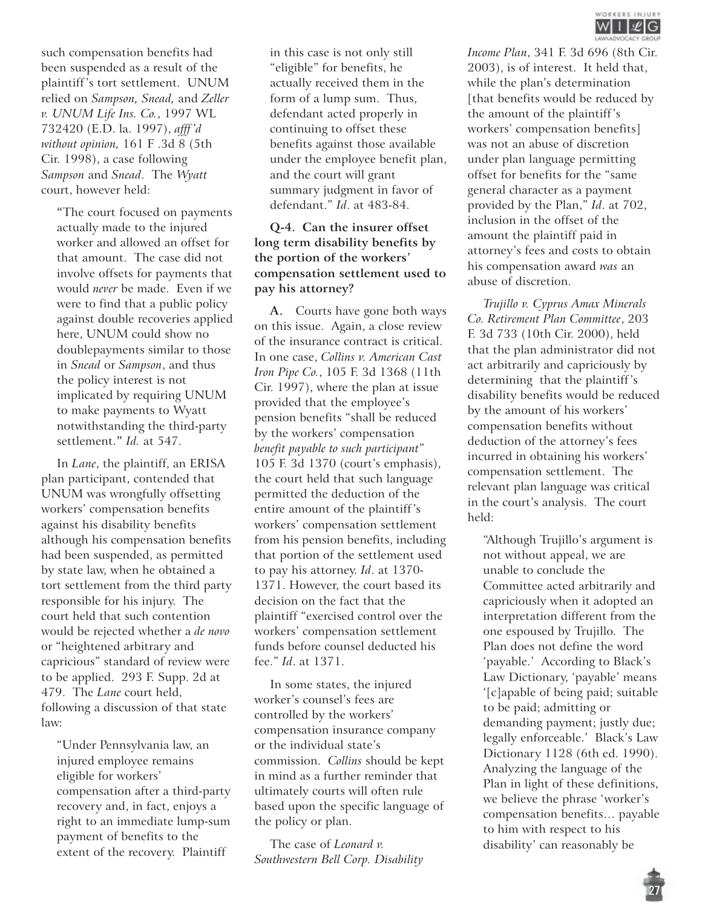such compensation benefits had been suspended as a result of the plaintiff's tort settlement. UNUM relied on *Sampson, Snead,* and *Zeller v. UNUM Life Ins. Co.*, 1997 WL 732420 (E.D. la. 1997), *afff'd without opinion,* 161 F .3d 8 (5th Cir. 1998), a case following *Sampson* and *Snead*. The *Wyatt* court, however held:

**"**The court focused on payments actually made to the injured worker and allowed an offset for that amount. The case did not involve offsets for payments that would *never* be made. Even if we were to find that a public policy against double recoveries applied here, UNUM could show no doublepayments similar to those in *Snead* or *Sampson*, and thus the policy interest is not implicated by requiring UNUM to make payments to Wyatt notwithstanding the third-party settlement.**"** *Id.* at 547.

In *Lane*, the plaintiff, an ERISA plan participant, contended that UNUM was wrongfully offsetting workers' compensation benefits against his disability benefits although his compensation benefits had been suspended, as permitted by state law, when he obtained a tort settlement from the third party responsible for his injury. The court held that such contention would be rejected whether a *de novo* or "heightened arbitrary and capricious" standard of review were to be applied. 293 F. Supp. 2d at 479. The *Lane* court held, following a discussion of that state law:

"Under Pennsylvania law, an injured employee remains eligible for workers' compensation after a third-party recovery and, in fact, enjoys a right to an immediate lump-sum payment of benefits to the extent of the recovery. Plaintiff

in this case is not only still "eligible" for benefits, he actually received them in the form of a lump sum. Thus, defendant acted properly in continuing to offset these benefits against those available under the employee benefit plan, and the court will grant summary judgment in favor of defendant." *Id*. at 483-84.

**Q-4. Can the insurer offset long term disability benefits by the portion of the workers' compensation settlement used to pay his attorney?**

**A.** Courts have gone both ways on this issue. Again, a close review of the insurance contract is critical. In one case, *Collins v. American Cast Iron Pipe Co.*, 105 F. 3d 1368 (11th Cir. 1997), where the plan at issue provided that the employee's pension benefits "shall be reduced by the workers' compensation *benefit payable to such participant*" 105 F. 3d 1370 (court's emphasis), the court held that such language permitted the deduction of the entire amount of the plaintiff's workers' compensation settlement from his pension benefits, including that portion of the settlement used to pay his attorney. *Id*. at 1370- 1371. However, the court based its decision on the fact that the plaintiff "exercised control over the workers' compensation settlement funds before counsel deducted his fee." *Id*. at 1371.

In some states, the injured worker's counsel's fees are controlled by the workers' compensation insurance company or the individual state's commission. *Collins* should be kept in mind as a further reminder that ultimately courts will often rule based upon the specific language of the policy or plan.

The case of *Leonard v. Southwestern Bell Corp. Disability*



*Income Plan*, 341 F. 3d 696 (8th Cir. 2003), is of interest. It held that, while the plan's determination [that benefits would be reduced by the amount of the plaintiff's workers' compensation benefits] was not an abuse of discretion under plan language permitting offset for benefits for the "same general character as a payment provided by the Plan," *Id*. at 702, inclusion in the offset of the amount the plaintiff paid in attorney's fees and costs to obtain his compensation award *was* an abuse of discretion.

*Trujillo v. Cyprus Amax Minerals Co. Retirement Plan Committee*, 203 F. 3d 733 (10th Cir. 2000), held that the plan administrator did not act arbitrarily and capriciously by determining that the plaintiff's disability benefits would be reduced by the amount of his workers' compensation benefits without deduction of the attorney's fees incurred in obtaining his workers' compensation settlement. The relevant plan language was critical in the court's analysis. The court held:

"Although Trujillo's argument is not without appeal, we are unable to conclude the Committee acted arbitrarily and capriciously when it adopted an interpretation different from the one espoused by Trujillo. The Plan does not define the word 'payable.' According to Black's Law Dictionary, 'payable' means '[c]apable of being paid; suitable to be paid; admitting or demanding payment; justly due; legally enforceable.' Black's Law Dictionary 1128 (6th ed. 1990). Analyzing the language of the Plan in light of these definitions, we believe the phrase 'worker's compensation benefits… payable to him with respect to his disability' can reasonably be

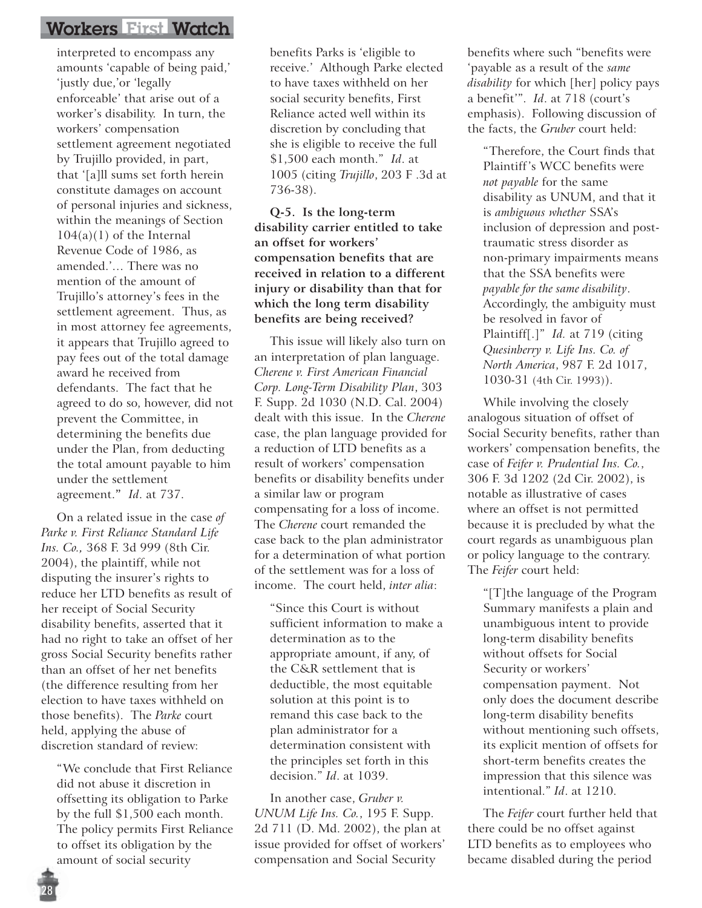### Workers First Watch

interpreted to encompass any amounts 'capable of being paid,' 'justly due,'or 'legally enforceable' that arise out of a worker's disability. In turn, the workers' compensation settlement agreement negotiated by Trujillo provided, in part, that '[a]ll sums set forth herein constitute damages on account of personal injuries and sickness, within the meanings of Section  $104(a)(1)$  of the Internal Revenue Code of 1986, as amended.'… There was no mention of the amount of Trujillo's attorney's fees in the settlement agreement. Thus, as in most attorney fee agreements, it appears that Trujillo agreed to pay fees out of the total damage award he received from defendants. The fact that he agreed to do so, however, did not prevent the Committee, in determining the benefits due under the Plan, from deducting the total amount payable to him under the settlement agreement.**"** *Id*. at 737.

On a related issue in the case *of Parke v. First Reliance Standard Life Ins. Co.,* 368 F. 3d 999 (8th Cir. 2004), the plaintiff, while not disputing the insurer's rights to reduce her LTD benefits as result of her receipt of Social Security disability benefits, asserted that it had no right to take an offset of her gross Social Security benefits rather than an offset of her net benefits (the difference resulting from her election to have taxes withheld on those benefits). The *Parke* court held, applying the abuse of discretion standard of review:

"We conclude that First Reliance did not abuse it discretion in offsetting its obligation to Parke by the full \$1,500 each month. The policy permits First Reliance to offset its obligation by the amount of social security

benefits Parks is 'eligible to receive.' Although Parke elected to have taxes withheld on her social security benefits, First Reliance acted well within its discretion by concluding that she is eligible to receive the full \$1,500 each month."*Id*. at 1005 (citing *Trujillo*, 203 F .3d at 736-38).

**Q-5. Is the long-term disability carrier entitled to take an offset for workers' compensation benefits that are received in relation to a different injury or disability than that for which the long term disability benefits are being received?**

This issue will likely also turn on an interpretation of plan language. *Cherene v. First American Financial Corp. Long-Term Disability Plan*, 303 F. Supp. 2d 1030 (N.D. Cal. 2004) dealt with this issue. In the *Cherene* case, the plan language provided for a reduction of LTD benefits as a result of workers' compensation benefits or disability benefits under a similar law or program compensating for a loss of income. The *Cherene* court remanded the case back to the plan administrator for a determination of what portion of the settlement was for a loss of income. The court held, *inter alia*:

"Since this Court is without sufficient information to make a determination as to the appropriate amount, if any, of the C&R settlement that is deductible, the most equitable solution at this point is to remand this case back to the plan administrator for a determination consistent with the principles set forth in this decision." *Id*. at 1039.

In another case, *Gruber v. UNUM Life Ins. Co.*, 195 F. Supp. 2d 711 (D. Md. 2002), the plan at issue provided for offset of workers' compensation and Social Security

benefits where such "benefits were 'payable as a result of the *same disability* for which [her] policy pays a benefit'". *Id*. at 718 (court's emphasis). Following discussion of the facts, the *Gruber* court held:

"Therefore, the Court finds that Plaintiff's WCC benefits were *not payable* for the same disability as UNUM, and that it is *ambiguous whether* SSA's inclusion of depression and posttraumatic stress disorder as non-primary impairments means that the SSA benefits were *payable for the same disability*. Accordingly, the ambiguity must be resolved in favor of Plaintiff[.]"*Id.* at 719 (citing *Quesinberry v. Life Ins. Co. of North America*, 987 F. 2d 1017, 1030-31 (4th Cir. 1993)).

While involving the closely analogous situation of offset of Social Security benefits, rather than workers' compensation benefits, the case of *Feifer v. Prudential Ins. Co.*, 306 F. 3d 1202 (2d Cir. 2002), is notable as illustrative of cases where an offset is not permitted because it is precluded by what the court regards as unambiguous plan or policy language to the contrary. The *Feifer* court held:

"[T]the language of the Program Summary manifests a plain and unambiguous intent to provide long-term disability benefits without offsets for Social Security or workers' compensation payment. Not only does the document describe long-term disability benefits without mentioning such offsets, its explicit mention of offsets for short-term benefits creates the impression that this silence was intentional." *Id*. at 1210.

The *Feifer* court further held that there could be no offset against LTD benefits as to employees who became disabled during the period

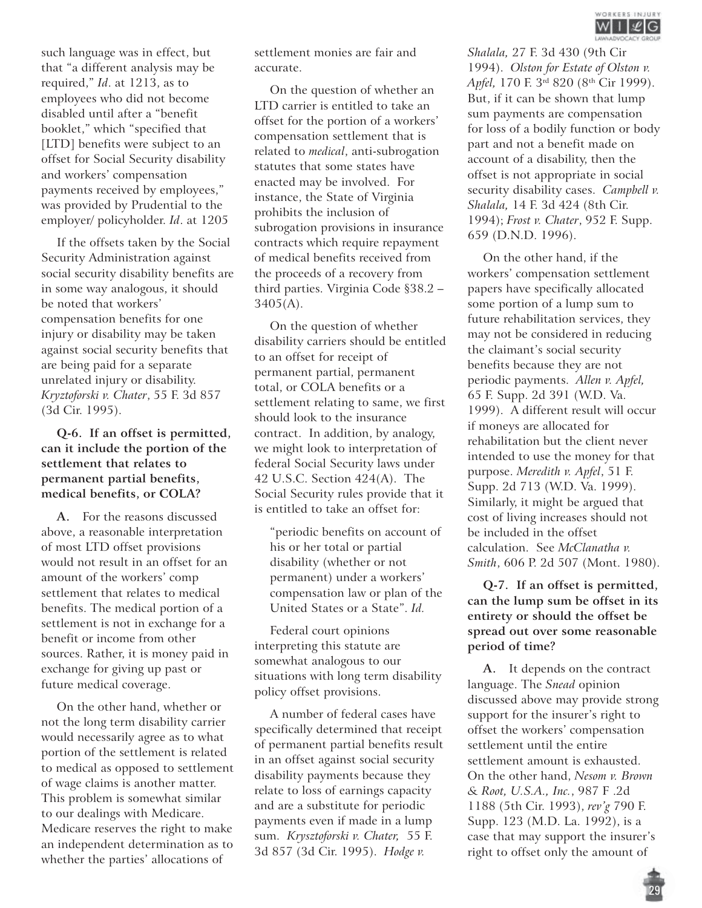

such language was in effect, but that "a different analysis may be required," *Id*. at 1213, as to employees who did not become disabled until after a "benefit booklet," which "specified that [LTD] benefits were subject to an offset for Social Security disability and workers' compensation payments received by employees," was provided by Prudential to the employer/ policyholder. *Id*. at 1205

If the offsets taken by the Social Security Administration against social security disability benefits are in some way analogous, it should be noted that workers' compensation benefits for one injury or disability may be taken against social security benefits that are being paid for a separate unrelated injury or disability. *Kryztoforski v. Chater*, 55 F. 3d 857 (3d Cir. 1995).

**Q-6. If an offset is permitted, can it include the portion of the settlement that relates to permanent partial benefits, medical benefits, or COLA?**

**A.** For the reasons discussed above, a reasonable interpretation of most LTD offset provisions would not result in an offset for an amount of the workers' comp settlement that relates to medical benefits. The medical portion of a settlement is not in exchange for a benefit or income from other sources. Rather, it is money paid in exchange for giving up past or future medical coverage.

On the other hand, whether or not the long term disability carrier would necessarily agree as to what portion of the settlement is related to medical as opposed to settlement of wage claims is another matter. This problem is somewhat similar to our dealings with Medicare. Medicare reserves the right to make an independent determination as to whether the parties' allocations of

settlement monies are fair and accurate.

On the question of whether an LTD carrier is entitled to take an offset for the portion of a workers' compensation settlement that is related to *medical*, anti-subrogation statutes that some states have enacted may be involved. For instance, the State of Virginia prohibits the inclusion of subrogation provisions in insurance contracts which require repayment of medical benefits received from the proceeds of a recovery from third parties. Virginia Code §38.2 – 3405(A).

On the question of whether disability carriers should be entitled to an offset for receipt of permanent partial, permanent total, or COLA benefits or a settlement relating to same, we first should look to the insurance contract. In addition, by analogy, we might look to interpretation of federal Social Security laws under 42 U.S.C. Section 424(A). The Social Security rules provide that it is entitled to take an offset for:

"periodic benefits on account of his or her total or partial disability (whether or not permanent) under a workers' compensation law or plan of the United States or a State". *Id.*

Federal court opinions interpreting this statute are somewhat analogous to our situations with long term disability policy offset provisions.

A number of federal cases have specifically determined that receipt of permanent partial benefits result in an offset against social security disability payments because they relate to loss of earnings capacity and are a substitute for periodic payments even if made in a lump sum. *Krysztoforski v. Chater,* 55 F. 3d 857 (3d Cir. 1995). *Hodge v.*

*Shalala,* 27 F. 3d 430 (9th Cir 1994). *Olston for Estate of Olston v. Apfel, 170 F.* 3<sup>rd</sup> 820 (8<sup>th</sup> Cir 1999). But, if it can be shown that lump sum payments are compensation for loss of a bodily function or body part and not a benefit made on account of a disability, then the offset is not appropriate in social security disability cases. *Campbell v. Shalala,* 14 F. 3d 424 (8th Cir. 1994); *Frost v. Chater*, 952 F. Supp. 659 (D.N.D. 1996).

On the other hand, if the workers' compensation settlement papers have specifically allocated some portion of a lump sum to future rehabilitation services, they may not be considered in reducing the claimant's social security benefits because they are not periodic payments. *Allen v. Apfel,* 65 F. Supp. 2d 391 (W.D. Va. 1999). A different result will occur if moneys are allocated for rehabilitation but the client never intended to use the money for that purpose. *Meredith v. Apfel*, 51 F. Supp. 2d 713 (W.D. Va. 1999). Similarly, it might be argued that cost of living increases should not be included in the offset calculation. See *McClanatha v. Smith*, 606 P. 2d 507 (Mont. 1980).

**Q-7. If an offset is permitted, can the lump sum be offset in its entirety or should the offset be spread out over some reasonable period of time?**

**A.** It depends on the contract language. The *Snead* opinion discussed above may provide strong support for the insurer's right to offset the workers' compensation settlement until the entire settlement amount is exhausted. On the other hand, *Nesom v. Brown & Root, U.S.A., Inc.*, 987 F .2d 1188 (5th Cir. 1993), *rev'g* 790 F. Supp. 123 (M.D. La. 1992), is a case that may support the insurer's right to offset only the amount of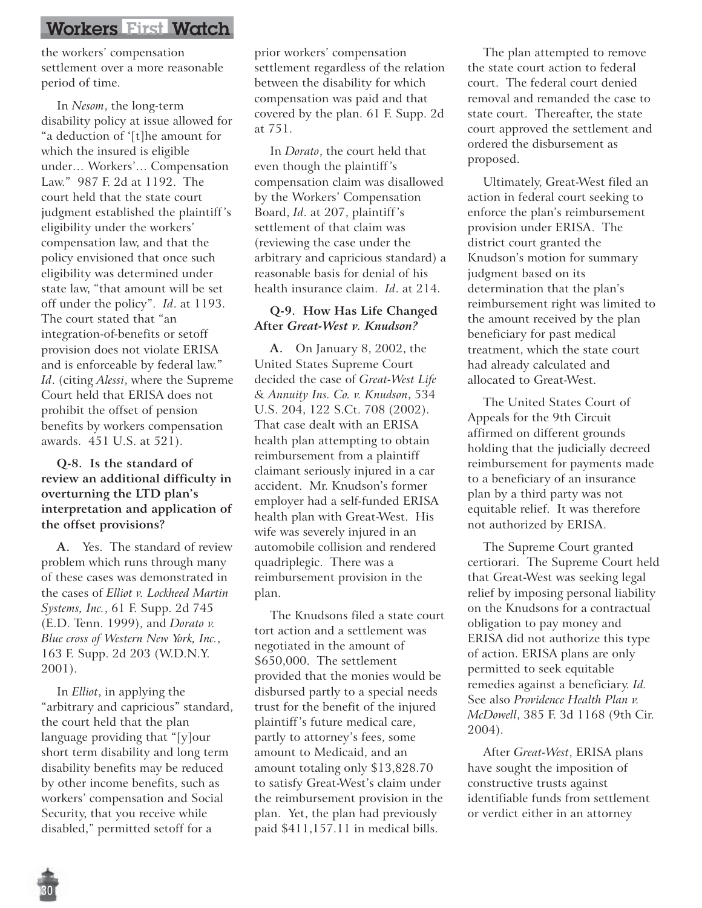## Workers First Watch

the workers' compensation settlement over a more reasonable period of time.

In *Nesom*, the long-term disability policy at issue allowed for "a deduction of '[t]he amount for which the insured is eligible under… Workers'… Compensation Law." 987 F. 2d at 1192. The court held that the state court judgment established the plaintiff's eligibility under the workers' compensation law, and that the policy envisioned that once such eligibility was determined under state law, "that amount will be set off under the policy". *Id*. at 1193. The court stated that "an integration-of-benefits or setoff provision does not violate ERISA and is enforceable by federal law." *Id*. (citing *Alessi*, where the Supreme Court held that ERISA does not prohibit the offset of pension benefits by workers compensation awards. 451 U.S. at 521).

#### **Q-8. Is the standard of review an additional difficulty in overturning the LTD plan's interpretation and application of the offset provisions?**

**A.** Yes. The standard of review problem which runs through many of these cases was demonstrated in the cases of *Elliot v. Lockheed Martin Systems, Inc.*, 61 F. Supp. 2d 745 (E.D. Tenn. 1999), and *Dorato v. Blue cross of Western New York, Inc.*, 163 F. Supp. 2d 203 (W.D.N.Y. 2001).

In *Elliot*, in applying the "arbitrary and capricious" standard, the court held that the plan language providing that "[y]our short term disability and long term disability benefits may be reduced by other income benefits, such as workers' compensation and Social Security, that you receive while disabled," permitted setoff for a

prior workers' compensation settlement regardless of the relation between the disability for which compensation was paid and that covered by the plan. 61 F. Supp. 2d at 751.

In *Dorato*, the court held that even though the plaintiff's compensation claim was disallowed by the Workers' Compensation Board, *Id*. at 207, plaintiff's settlement of that claim was (reviewing the case under the arbitrary and capricious standard) a reasonable basis for denial of his health insurance claim. *Id*. at 214.

#### **Q-9. How Has Life Changed After** *Great-West v. Knudson?*

**A.** On January 8, 2002, the United States Supreme Court decided the case of *Great-West Life & Annuity Ins. Co. v. Knudson*, 534 U.S. 204, 122 S.Ct. 708 (2002). That case dealt with an ERISA health plan attempting to obtain reimbursement from a plaintiff claimant seriously injured in a car accident. Mr. Knudson's former employer had a self-funded ERISA health plan with Great-West. His wife was severely injured in an automobile collision and rendered quadriplegic. There was a reimbursement provision in the plan.

The Knudsons filed a state court tort action and a settlement was negotiated in the amount of \$650,000. The settlement provided that the monies would be disbursed partly to a special needs trust for the benefit of the injured plaintiff's future medical care, partly to attorney's fees, some amount to Medicaid, and an amount totaling only \$13,828.70 to satisfy Great-West's claim under the reimbursement provision in the plan. Yet, the plan had previously paid \$411,157.11 in medical bills.

The plan attempted to remove the state court action to federal court. The federal court denied removal and remanded the case to state court. Thereafter, the state court approved the settlement and ordered the disbursement as proposed.

Ultimately, Great-West filed an action in federal court seeking to enforce the plan's reimbursement provision under ERISA. The district court granted the Knudson's motion for summary judgment based on its determination that the plan's reimbursement right was limited to the amount received by the plan beneficiary for past medical treatment, which the state court had already calculated and allocated to Great-West.

The United States Court of Appeals for the 9th Circuit affirmed on different grounds holding that the judicially decreed reimbursement for payments made to a beneficiary of an insurance plan by a third party was not equitable relief. It was therefore not authorized by ERISA.

The Supreme Court granted certiorari. The Supreme Court held that Great-West was seeking legal relief by imposing personal liability on the Knudsons for a contractual obligation to pay money and ERISA did not authorize this type of action. ERISA plans are only permitted to seek equitable remedies against a beneficiary. *Id.* See also *Providence Health Plan v. McDowell*, 385 F. 3d 1168 (9th Cir. 2004).

After *Great-West*, ERISA plans have sought the imposition of constructive trusts against identifiable funds from settlement or verdict either in an attorney